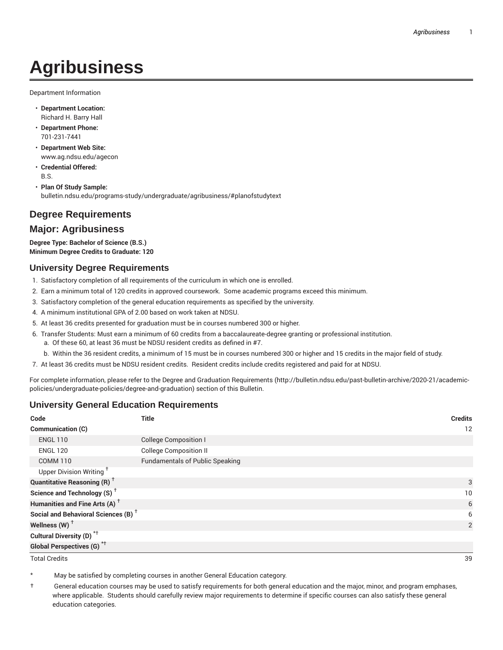# **Agribusiness**

Department Information

- **Department Location:** Richard H. Barry Hall
- **Department Phone:** 701-231-7441
- **Department Web Site:** www.ag.ndsu.edu/agecon
- **Credential Offered:** B.S.

• **Plan Of Study Sample:** bulletin.ndsu.edu/programs-study/undergraduate/agribusiness/#planofstudytext

## **Degree Requirements**

#### **Major: Agribusiness**

**Degree Type: Bachelor of Science (B.S.) Minimum Degree Credits to Graduate: 120**

#### **University Degree Requirements**

- 1. Satisfactory completion of all requirements of the curriculum in which one is enrolled.
- 2. Earn a minimum total of 120 credits in approved coursework. Some academic programs exceed this minimum.
- 3. Satisfactory completion of the general education requirements as specified by the university.
- 4. A minimum institutional GPA of 2.00 based on work taken at NDSU.
- 5. At least 36 credits presented for graduation must be in courses numbered 300 or higher.
- 6. Transfer Students: Must earn a minimum of 60 credits from a baccalaureate-degree granting or professional institution.
	- a. Of these 60, at least 36 must be NDSU resident credits as defined in #7.
	- b. Within the 36 resident credits, a minimum of 15 must be in courses numbered 300 or higher and 15 credits in the major field of study.
- 7. At least 36 credits must be NDSU resident credits. Resident credits include credits registered and paid for at NDSU.

For complete information, please refer to the Degree and Graduation Requirements (http://bulletin.ndsu.edu/past-bulletin-archive/2020-21/academicpolicies/undergraduate-policies/degree-and-graduation) section of this Bulletin.

#### **University General Education Requirements**

| Code                                            | <b>Title</b>                           | <b>Credits</b> |
|-------------------------------------------------|----------------------------------------|----------------|
| Communication (C)                               |                                        | 12             |
| <b>ENGL 110</b>                                 | <b>College Composition I</b>           |                |
| <b>ENGL 120</b>                                 | <b>College Composition II</b>          |                |
| <b>COMM 110</b>                                 | <b>Fundamentals of Public Speaking</b> |                |
| Upper Division Writing <sup>+</sup>             |                                        |                |
| <b>Quantitative Reasoning (R)</b> <sup>†</sup>  |                                        | 3              |
| Science and Technology (S) <sup>+</sup>         |                                        | 10             |
| Humanities and Fine Arts (A) <sup>+</sup>       |                                        | 6              |
| Social and Behavioral Sciences (B) <sup>+</sup> |                                        | 6              |
| Wellness (W) $^{\dagger}$                       |                                        | 2              |
| Cultural Diversity (D) <sup>*†</sup>            |                                        |                |
| <b>Global Perspectives (G)<sup>*†</sup></b>     |                                        |                |

Total Credits 39

May be satisfied by completing courses in another General Education category.

† General education courses may be used to satisfy requirements for both general education and the major, minor, and program emphases, where applicable. Students should carefully review major requirements to determine if specific courses can also satisfy these general education categories.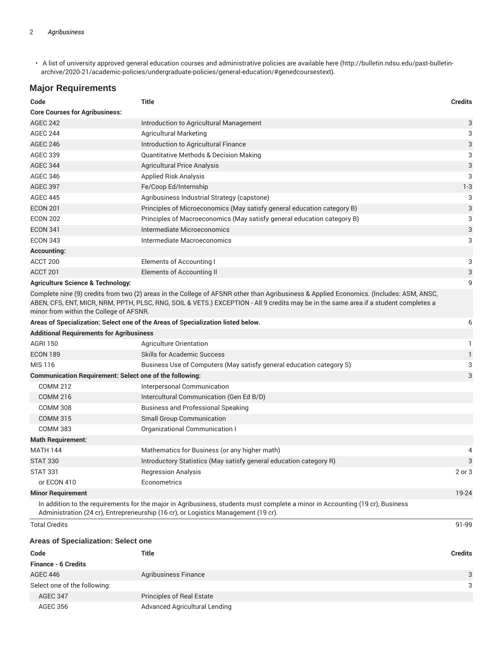• A list of university approved general education courses and administrative policies are available here (http://bulletin.ndsu.edu/past-bulletinarchive/2020-21/academic-policies/undergraduate-policies/general-education/#genedcoursestext).

#### **Major Requirements**

| Code                                                           | Title                                                                                                                                                                                                                                                                           | <b>Credits</b> |
|----------------------------------------------------------------|---------------------------------------------------------------------------------------------------------------------------------------------------------------------------------------------------------------------------------------------------------------------------------|----------------|
| <b>Core Courses for Agribusiness:</b>                          |                                                                                                                                                                                                                                                                                 |                |
| <b>AGEC 242</b>                                                | Introduction to Agricultural Management                                                                                                                                                                                                                                         | 3              |
| <b>AGEC 244</b>                                                | <b>Agricultural Marketing</b>                                                                                                                                                                                                                                                   | 3              |
| <b>AGEC 246</b>                                                | Introduction to Agricultural Finance                                                                                                                                                                                                                                            | 3              |
| <b>AGEC 339</b>                                                | <b>Quantitative Methods &amp; Decision Making</b>                                                                                                                                                                                                                               | 3              |
| <b>AGEC 344</b>                                                | <b>Agricultural Price Analysis</b>                                                                                                                                                                                                                                              | 3              |
| <b>AGEC 346</b>                                                | <b>Applied Risk Analysis</b>                                                                                                                                                                                                                                                    | 3              |
| <b>AGEC 397</b>                                                | Fe/Coop Ed/Internship                                                                                                                                                                                                                                                           | $1 - 3$        |
| <b>AGEC 445</b>                                                | Agribusiness Industrial Strategy (capstone)                                                                                                                                                                                                                                     | 3              |
| <b>ECON 201</b>                                                | Principles of Microeconomics (May satisfy general education category B)                                                                                                                                                                                                         | 3              |
| <b>ECON 202</b>                                                | Principles of Macroeconomics (May satisfy general education category B)                                                                                                                                                                                                         | 3              |
| <b>ECON 341</b>                                                | Intermediate Microeconomics                                                                                                                                                                                                                                                     | 3              |
| <b>ECON 343</b>                                                | Intermediate Macroeconomics                                                                                                                                                                                                                                                     | 3              |
| <b>Accounting:</b>                                             |                                                                                                                                                                                                                                                                                 |                |
| ACCT 200                                                       | Elements of Accounting I                                                                                                                                                                                                                                                        | 3              |
| ACCT <sub>201</sub>                                            | <b>Elements of Accounting II</b>                                                                                                                                                                                                                                                | 3              |
| <b>Agriculture Science &amp; Technology:</b>                   |                                                                                                                                                                                                                                                                                 | 9              |
| minor from within the College of AFSNR.                        | Complete nine (9) credits from two (2) areas in the College of AFSNR other than Agribusiness & Applied Economics. (Includes: ASM, ANSC,<br>ABEN, CFS, ENT, MICR, NRM, PPTH, PLSC, RNG, SOIL & VETS.) EXCEPTION - All 9 credits may be in the same area if a student completes a |                |
|                                                                | Areas of Specialization: Select one of the Areas of Specialization listed below.                                                                                                                                                                                                | 6              |
| <b>Additional Requirements for Agribusiness</b>                |                                                                                                                                                                                                                                                                                 |                |
| <b>AGRI 150</b>                                                | Agriculture Orientation                                                                                                                                                                                                                                                         | 1.             |
| <b>ECON 189</b>                                                | <b>Skills for Academic Success</b>                                                                                                                                                                                                                                              | $\mathbf{1}$   |
| MIS 116                                                        | Business Use of Computers (May satisfy general education category S)                                                                                                                                                                                                            | 3              |
| <b>Communication Requirement: Select one of the following:</b> |                                                                                                                                                                                                                                                                                 | 3              |
| <b>COMM 212</b>                                                | Interpersonal Communication                                                                                                                                                                                                                                                     |                |
| <b>COMM 216</b>                                                | Intercultural Communication (Gen Ed B/D)                                                                                                                                                                                                                                        |                |
| <b>COMM 308</b>                                                | <b>Business and Professional Speaking</b>                                                                                                                                                                                                                                       |                |
| <b>COMM 315</b>                                                | <b>Small Group Communication</b>                                                                                                                                                                                                                                                |                |
| <b>COMM 383</b>                                                | Organizational Communication I                                                                                                                                                                                                                                                  |                |
| <b>Math Requirement:</b>                                       |                                                                                                                                                                                                                                                                                 |                |
| <b>MATH 144</b>                                                | Mathematics for Business (or any higher math)                                                                                                                                                                                                                                   | 4              |
| <b>STAT 330</b>                                                | Introductory Statistics (May satisfy general education category R)                                                                                                                                                                                                              | 3              |
| <b>STAT 331</b>                                                | <b>Regression Analysis</b>                                                                                                                                                                                                                                                      | 2 or 3         |
| or ECON 410                                                    | Econometrics                                                                                                                                                                                                                                                                    |                |
| <b>Minor Requirement</b>                                       |                                                                                                                                                                                                                                                                                 | 19-24          |
|                                                                | In addition to the requirements for the major in Agribusiness, students must complete a minor in Accounting (19 cr), Business<br>Administration (24 cr), Entrepreneurship (16 cr), or Logistics Management (19 cr).                                                             |                |
| <b>Total Credits</b>                                           |                                                                                                                                                                                                                                                                                 | 91-99          |
| <b>Areas of Specialization: Select one</b>                     |                                                                                                                                                                                                                                                                                 |                |
| Code                                                           | Title                                                                                                                                                                                                                                                                           | <b>Credits</b> |
| <b>Finance - 6 Credits</b>                                     |                                                                                                                                                                                                                                                                                 |                |

| <b>Finance - 6 Credits</b>   |                                  |   |
|------------------------------|----------------------------------|---|
| AGEC 446                     | Agribusiness Finance             | ₽ |
| Select one of the following: |                                  |   |
| <b>AGEC 347</b>              | <b>Principles of Real Estate</b> |   |
| AGEC 356                     | Advanced Agricultural Lending    |   |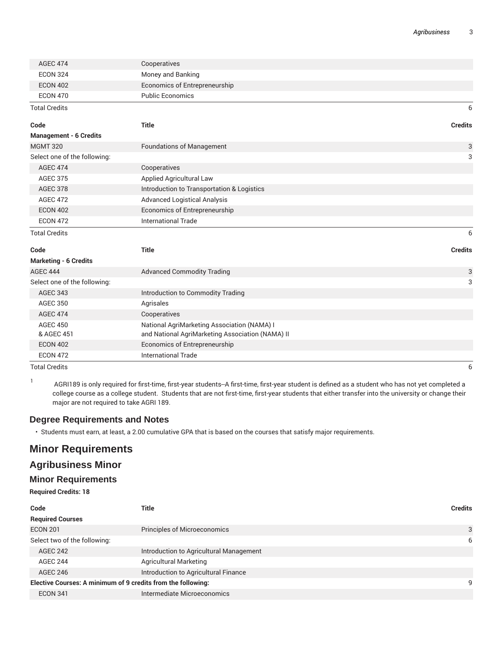| <b>AGEC 474</b>               | Cooperatives                                     |                |
|-------------------------------|--------------------------------------------------|----------------|
| <b>ECON 324</b>               | Money and Banking                                |                |
| <b>ECON 402</b>               | Economics of Entrepreneurship                    |                |
| <b>ECON 470</b>               | <b>Public Economics</b>                          |                |
| <b>Total Credits</b>          |                                                  | 6              |
| Code                          | <b>Title</b>                                     | <b>Credits</b> |
| <b>Management - 6 Credits</b> |                                                  |                |
| <b>MGMT 320</b>               | <b>Foundations of Management</b>                 | 3              |
| Select one of the following:  |                                                  | 3              |
| <b>AGEC 474</b>               | Cooperatives                                     |                |
| <b>AGEC 375</b>               | Applied Agricultural Law                         |                |
| <b>AGEC 378</b>               | Introduction to Transportation & Logistics       |                |
| <b>AGEC 472</b>               | <b>Advanced Logistical Analysis</b>              |                |
| <b>ECON 402</b>               | Economics of Entrepreneurship                    |                |
| <b>ECON 472</b>               | <b>International Trade</b>                       |                |
| <b>Total Credits</b>          |                                                  | 6              |
| Code                          | <b>Title</b>                                     | <b>Credits</b> |
| <b>Marketing - 6 Credits</b>  |                                                  |                |
| <b>AGEC 444</b>               | <b>Advanced Commodity Trading</b>                | 3              |
| Select one of the following:  |                                                  | 3              |
| <b>AGEC 343</b>               | Introduction to Commodity Trading                |                |
| <b>AGEC 350</b>               | Agrisales                                        |                |
| <b>AGEC 474</b>               | Cooperatives                                     |                |
| <b>AGEC 450</b>               | National AgriMarketing Association (NAMA) I      |                |
| & AGEC 451                    | and National AgriMarketing Association (NAMA) II |                |
| <b>ECON 402</b>               | Economics of Entrepreneurship                    |                |
| <b>ECON 472</b>               | <b>International Trade</b>                       |                |

Total Credits 6

1 AGRI189 is only required for first-time, first-year students--A first-time, first-year student is defined as a student who has not yet completed a college course as a college student. Students that are not first-time, first-year students that either transfer into the university or change their major are not required to take AGRI 189.

#### **Degree Requirements and Notes**

• Students must earn, at least, a 2.00 cumulative GPA that is based on the courses that satisfy major requirements.

## **Minor Requirements**

### **Agribusiness Minor**

#### **Minor Requirements**

**Required Credits: 18**

| Code                                                         | <b>Title</b>                            | <b>Credits</b> |
|--------------------------------------------------------------|-----------------------------------------|----------------|
| <b>Required Courses</b>                                      |                                         |                |
| <b>ECON 201</b>                                              | <b>Principles of Microeconomics</b>     | 3              |
| Select two of the following:                                 |                                         | 6              |
| <b>AGEC 242</b>                                              | Introduction to Agricultural Management |                |
| <b>AGEC 244</b>                                              | <b>Agricultural Marketing</b>           |                |
| <b>AGEC 246</b>                                              | Introduction to Agricultural Finance    |                |
| Elective Courses: A minimum of 9 credits from the following: |                                         | 9              |
| <b>ECON 341</b>                                              | Intermediate Microeconomics             |                |